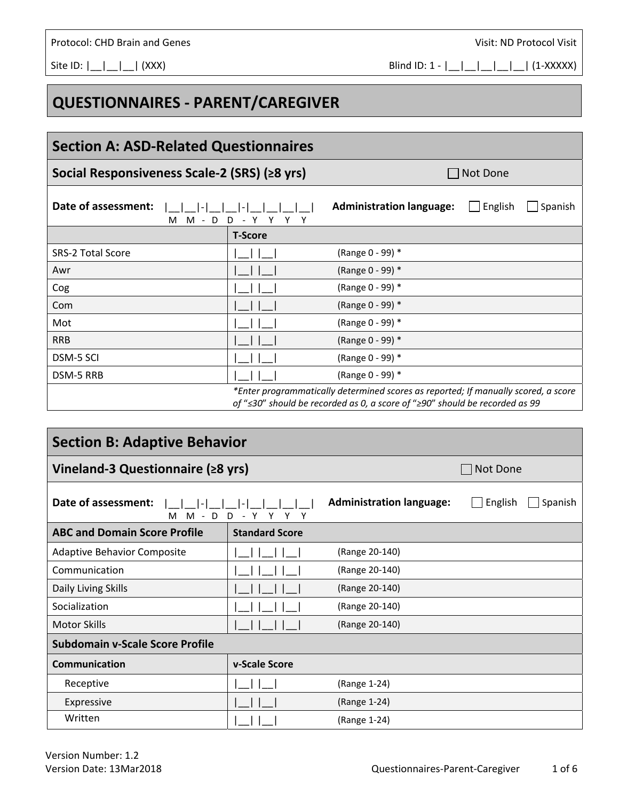## **Section A: ASD‐Related Questionnaires**

**QUESTIONNAIRES ‐ PARENT/CAREGIVER** 

## **Social Responsiveness Scale-2 (SRS) (≥8 yrs)** Not Done

| Date of assessment:                                                                                                                                               |                | <b>Administration language:</b> | English | Spanish |
|-------------------------------------------------------------------------------------------------------------------------------------------------------------------|----------------|---------------------------------|---------|---------|
| M<br>D<br>M<br>$\sim$ $-$<br>D                                                                                                                                    |                |                                 |         |         |
|                                                                                                                                                                   | <b>T-Score</b> |                                 |         |         |
| <b>SRS-2 Total Score</b>                                                                                                                                          |                | (Range 0 - 99) *                |         |         |
| Awr                                                                                                                                                               |                | (Range 0 - 99) *                |         |         |
| Cog                                                                                                                                                               |                | (Range 0 - 99) *                |         |         |
| Com                                                                                                                                                               |                | (Range 0 - 99) *                |         |         |
| Mot                                                                                                                                                               |                | (Range 0 - 99) *                |         |         |
| <b>RRB</b>                                                                                                                                                        |                | (Range 0 - 99) *                |         |         |
| <b>DSM-5 SCI</b>                                                                                                                                                  |                | (Range 0 - 99) *                |         |         |
| DSM-5 RRB                                                                                                                                                         |                | (Range 0 - 99) *                |         |         |
| *Enter programmatically determined scores as reported; If manually scored, a score<br>of "≤30" should be recorded as 0, a score of "≥90" should be recorded as 99 |                |                                 |         |         |

## **Section B: Adaptive Behavior Vineland-3 Questionnaire (≥8 yrs)** 
<br>
Not Done **Date of assessment:**  |\_\_|\_\_|‐|\_\_|\_\_|‐|\_\_|\_\_|\_\_|\_\_| M M ‐ D D ‐ Y Y Y Y Administration language: **English Spanish ABC and Domain Score Profile Standard Score**  Adaptive Behavior Composite |\_\_| |\_\_| |\_\_| (Range 20‐140) Communication  $|| \quad || \quad || \quad || \quad ||$  (Range 20-140) Daily Living Skills |\_\_| |\_\_| |\_\_| (Range 20‐140) Socialization  $|| \quad || \quad || \quad || \quad ||$  (Range 20-140) Motor Skills |\_\_| |\_\_| |\_\_| (Range 20‐140) **Subdomain v‐Scale Score Profile Communication v**-Scale Score Receptive  $|_{\square}$  |  $|_{\square}$  |  $|_{\square}$  (Range 1-24) Expressive  $|| \quad || \quad ||$   $|| \quad ||$   $|| \quad ||$  (Range 1-24) Written | |\_\_| |\_\_| (Range 1-24)

Site ID: |\_\_|\_\_|\_\_| (XXX) Blind ID: 1 ‐ |\_\_|\_\_|\_\_|\_\_|\_\_| (1‐XXXXX)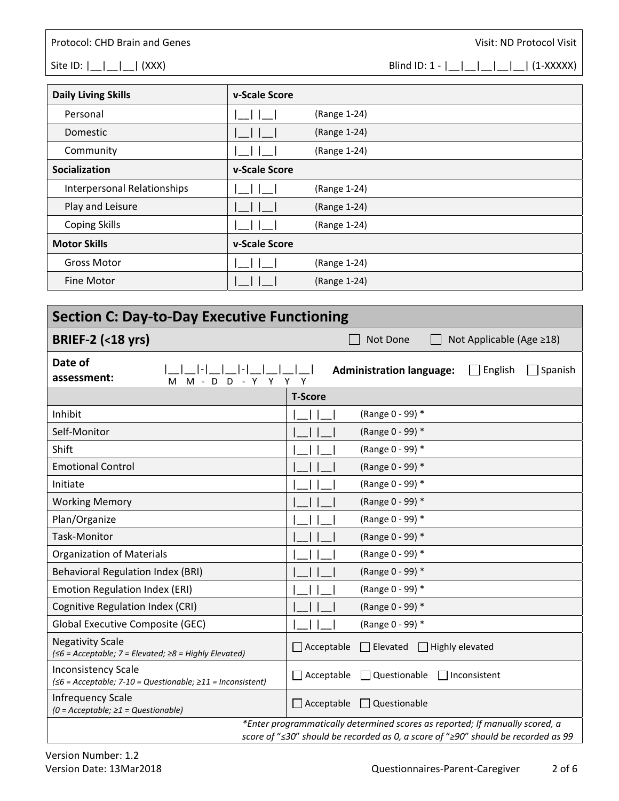Site ID:  $|\_| = |\_| = |\_$  (XXX) Blind ID: 1 -  $|\_| = |\_| = |\_| = |\_$  (1-XXXXX)

| <b>Daily Living Skills</b>         | v-Scale Score |              |
|------------------------------------|---------------|--------------|
| Personal                           |               | (Range 1-24) |
| Domestic                           |               | (Range 1-24) |
| Community                          |               | (Range 1-24) |
| Socialization                      | v-Scale Score |              |
| <b>Interpersonal Relationships</b> |               | (Range 1-24) |
| Play and Leisure                   |               | (Range 1-24) |
| <b>Coping Skills</b>               |               | (Range 1-24) |
| <b>Motor Skills</b>                | v-Scale Score |              |
| <b>Gross Motor</b>                 |               | (Range 1-24) |
| Fine Motor                         |               | (Range 1-24) |

| <b>Section C: Day-to-Day Executive Functioning</b>                                         |                   |                                                                       |  |
|--------------------------------------------------------------------------------------------|-------------------|-----------------------------------------------------------------------|--|
| <b>BRIEF-2 (&lt;18 yrs)</b>                                                                |                   | Not Done<br>Not Applicable (Age ≥18)                                  |  |
| Date of<br>I-L<br>assessment:<br>M M - D D - Y Y Y Y                                       |                   | <b>Administration language:</b><br>English<br>Spanish<br>$\mathbf{I}$ |  |
|                                                                                            | <b>T-Score</b>    |                                                                       |  |
| Inhibit                                                                                    |                   | (Range 0 - 99) *                                                      |  |
| Self-Monitor                                                                               |                   | (Range 0 - 99) *                                                      |  |
| Shift                                                                                      |                   | (Range 0 - 99) *                                                      |  |
| <b>Emotional Control</b>                                                                   |                   | (Range 0 - 99) *                                                      |  |
| Initiate                                                                                   |                   | (Range 0 - 99) *                                                      |  |
| <b>Working Memory</b>                                                                      |                   | (Range 0 - 99) *                                                      |  |
| Plan/Organize                                                                              |                   | (Range 0 - 99) *                                                      |  |
| <b>Task-Monitor</b>                                                                        |                   | (Range 0 - 99) *                                                      |  |
| <b>Organization of Materials</b>                                                           |                   | (Range 0 - 99) *                                                      |  |
| <b>Behavioral Regulation Index (BRI)</b>                                                   |                   | (Range 0 - 99) *                                                      |  |
| Emotion Regulation Index (ERI)                                                             |                   | (Range 0 - 99) *                                                      |  |
| Cognitive Regulation Index (CRI)                                                           |                   | (Range 0 - 99) *                                                      |  |
| Global Executive Composite (GEC)                                                           |                   | (Range 0 - 99) *                                                      |  |
| <b>Negativity Scale</b><br>(≤6 = Acceptable; 7 = Elevated; ≥8 = Highly Elevated)           | $\Box$ Acceptable | $\Box$ Elevated $\Box$ Highly elevated                                |  |
| <b>Inconsistency Scale</b><br>$(56 = Acceptable; 7-10 = Questionable; 211 = Inconsistent)$ | $\Box$ Acceptable | $\Box$ Questionable<br>  Inconsistent                                 |  |
| <b>Infrequency Scale</b><br>$(0 = Acceptable; \ge 1 = Questionable)$                       | $\Box$ Acceptable | $\Box$ Questionable                                                   |  |
| *Enter programmatically determined scores as reported; If manually scored, a               |                   |                                                                       |  |

*score of* "*≤30*" *should be recorded as 0, a score of* "*≥90*" *should be recorded as 99*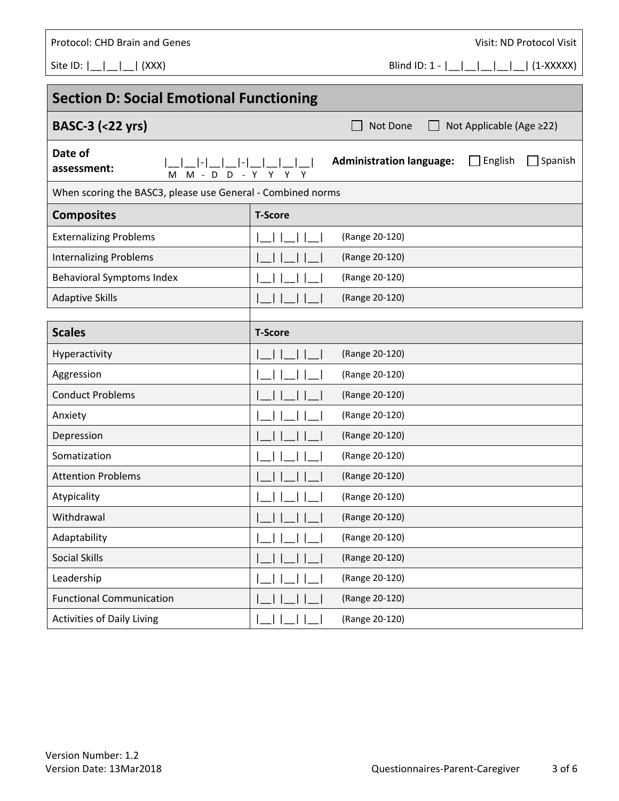| Protocol: CHD Brain and Genes                                 |                | Visit: ND Protocol Visit                                     |  |
|---------------------------------------------------------------|----------------|--------------------------------------------------------------|--|
| Site ID: $\begin{bmatrix} 1 & 1 \\ 1 & 1 \end{bmatrix}$ (XXX) |                | Blind ID: $1 -  $                  <br>$(1-XXXX)$            |  |
|                                                               |                |                                                              |  |
| <b>Section D: Social Emotional Functioning</b>                |                |                                                              |  |
| <b>BASC-3 (&lt;22 yrs)</b>                                    |                | Not Done<br>Not Applicable (Age ≥22)                         |  |
| Date of<br>assessment:<br>$M - D$ D<br>м                      | - Y Y Y<br>Y   | <b>Administration language:</b><br>$\Box$ English<br>Spanish |  |
| When scoring the BASC3, please use General - Combined norms   |                |                                                              |  |
| <b>Composites</b>                                             | <b>T-Score</b> |                                                              |  |
| <b>Externalizing Problems</b>                                 |                | (Range 20-120)                                               |  |
| <b>Internalizing Problems</b>                                 |                | (Range 20-120)                                               |  |
| <b>Behavioral Symptoms Index</b>                              |                | (Range 20-120)                                               |  |
| <b>Adaptive Skills</b>                                        |                | (Range 20-120)                                               |  |
|                                                               |                |                                                              |  |
| <b>Scales</b>                                                 | <b>T-Score</b> |                                                              |  |
| Hyperactivity                                                 |                | (Range 20-120)                                               |  |
| Aggression                                                    |                | (Range 20-120)                                               |  |
| <b>Conduct Problems</b>                                       |                | (Range 20-120)                                               |  |
| Anxiety                                                       |                | (Range 20-120)                                               |  |
| Depression                                                    |                | (Range 20-120)                                               |  |
| Somatization                                                  |                | (Range 20-120)                                               |  |
| <b>Attention Problems</b>                                     |                | (Range 20-120)                                               |  |
| Atypicality                                                   |                | (Range 20-120)                                               |  |
| Withdrawal                                                    |                | (Range 20-120)                                               |  |
| Adaptability                                                  |                | (Range 20-120)                                               |  |
| Social Skills                                                 |                | (Range 20-120)                                               |  |
| Leadership                                                    |                | (Range 20-120)                                               |  |
| <b>Functional Communication</b>                               |                | (Range 20-120)                                               |  |
| Activities of Daily Living                                    |                | (Range 20-120)                                               |  |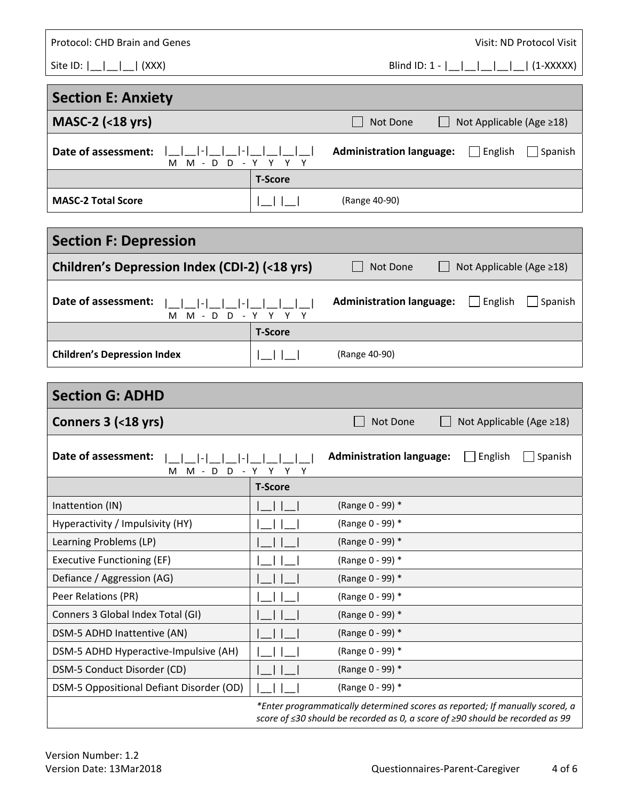| Protocol: CHD Brain and Genes                 |                | Visit: ND Protocol Visit                                     |  |
|-----------------------------------------------|----------------|--------------------------------------------------------------|--|
|                                               |                |                                                              |  |
| <b>Section E: Anxiety</b>                     |                |                                                              |  |
| $MASC-2$ (<18 yrs)                            |                | Not Done<br>Not Applicable (Age ≥18)                         |  |
| Date of assessment:<br>M - D D - Y Y Y Y<br>м |                | <b>Administration language:</b><br>English<br>Spanish        |  |
|                                               | <b>T-Score</b> |                                                              |  |
| <b>MASC-2 Total Score</b>                     |                | (Range 40-90)                                                |  |
|                                               |                |                                                              |  |
| <b>Section F: Depression</b>                  |                |                                                              |  |
| Children's Depression Index (CDI-2) (<18 yrs) |                | Not Done<br>Not Applicable (Age ≥18)                         |  |
| Date of assessment:<br>M M - D D - Y Y Y Y    |                | <b>Administration language:</b><br>English<br>Spanish        |  |
|                                               | <b>T-Score</b> |                                                              |  |
| <b>Children's Depression Index</b>            | $\Box$         | (Range 40-90)                                                |  |
|                                               |                |                                                              |  |
| <b>Section G: ADHD</b>                        |                |                                                              |  |
|                                               |                |                                                              |  |
| Conners 3 (<18 yrs)                           |                | Not Done<br>Not Applicable (Age ≥18)                         |  |
| Date of assessment:<br>M M - D D - Y Y Y Y    |                | <b>Administration language:</b><br>$\Box$ English<br>Spanish |  |
|                                               | <b>T-Score</b> |                                                              |  |
| Inattention (IN)                              |                | (Range 0 - 99) *                                             |  |
| Hyperactivity / Impulsivity (HY)              |                | (Range 0 - 99) *                                             |  |
| Learning Problems (LP)                        |                | (Range 0 - 99) *                                             |  |
| <b>Executive Functioning (EF)</b>             |                | (Range 0 - 99) *                                             |  |
| Defiance / Aggression (AG)                    |                | (Range 0 - 99) *                                             |  |
| Peer Relations (PR)                           |                | (Range 0 - 99) *                                             |  |
| Conners 3 Global Index Total (GI)             |                | (Range 0 - 99) *                                             |  |
| DSM-5 ADHD Inattentive (AN)                   |                | (Range 0 - 99) *                                             |  |
| DSM-5 ADHD Hyperactive-Impulsive (AH)         |                | (Range 0 - 99) *                                             |  |
| DSM-5 Conduct Disorder (CD)                   |                | (Range 0 - 99) *                                             |  |
| DSM-5 Oppositional Defiant Disorder (OD)      |                | (Range 0 - 99) *                                             |  |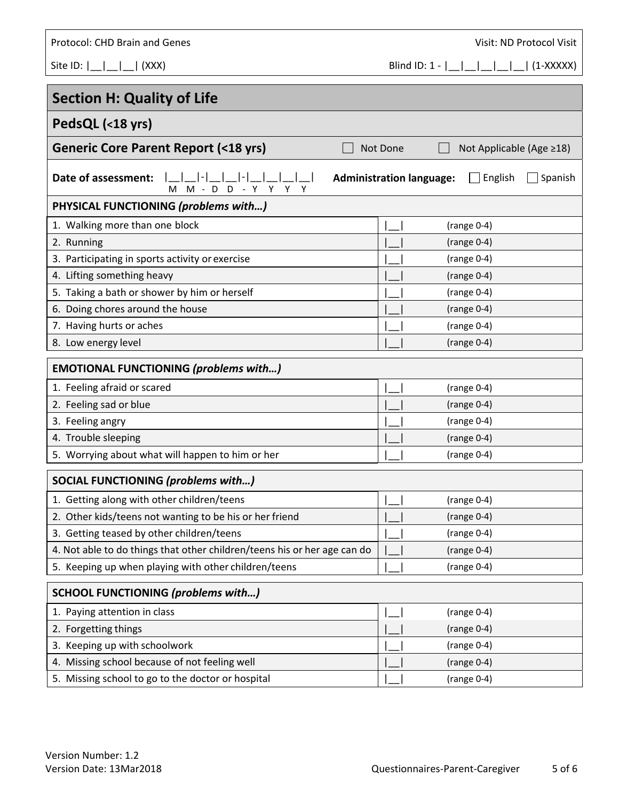| <b>Protocol: CHD Brain and Genes</b>               | Visit: ND Protocol Visit                              |
|----------------------------------------------------|-------------------------------------------------------|
| Site ID: $\lfloor$ $\lfloor$ $\rfloor$<br> (XXX)   | Blind ID: $1 -      $<br>$(1-XXXX)$                   |
| <b>Section H: Quality of Life</b>                  |                                                       |
| PedsQL (<18 yrs)                                   |                                                       |
| <b>Generic Core Parent Report (&lt;18 yrs)</b>     | Not Done<br>Not Applicable (Age ≥18)                  |
| Date of assessment:<br>$M - D D - Y Y$<br>Y Y<br>м | <b>Administration language:</b><br>English<br>Spanish |
| PHYSICAL FUNCTIONING (problems with)               |                                                       |
| 1. Walking more than one block                     | (range $0-4$ )                                        |
| 2. Running                                         | (range $0-4$ )                                        |
| 3. Participating in sports activity or exercise    | $(range 0-4)$                                         |
| 4. Lifting something heavy                         | $(range 0-4)$                                         |
| 5. Taking a bath or shower by him or herself       | $(range 0-4)$                                         |
| 6. Doing chores around the house                   | (range $0-4$ )                                        |
| 7. Having hurts or aches                           | $(range 0-4)$                                         |
| 8. Low energy level                                | (range $0-4$ )                                        |
| <b>EMOTIONAL FUNCTIONING (problems with)</b>       |                                                       |
| 1. Feeling afraid or scared                        | $(range 0-4)$                                         |
| 2. Feeling sad or blue                             | $(range 0-4)$                                         |
| 3. Feeling angry                                   | $(range 0-4)$                                         |
| 4. Trouble sleeping                                | $(range 0-4)$                                         |
| 5. Worrying about what will happen to him or her   | $(range 0-4)$                                         |
| SOCIAL FUNCTIONING (problems with)                 |                                                       |

| 1. Getting along with other children/teens                               | $(range 0-4)$ |  |
|--------------------------------------------------------------------------|---------------|--|
| 2. Other kids/teens not wanting to be his or her friend                  | $(range 0-4)$ |  |
| 3. Getting teased by other children/teens                                | $(range 0-4)$ |  |
| 4. Not able to do things that other children/teens his or her age can do | $(range 0-4)$ |  |
| 5. Keeping up when playing with other children/teens                     | $(range 0-4)$ |  |

| <b>SCHOOL FUNCTIONING (problems with)</b>         |               |
|---------------------------------------------------|---------------|
| 1. Paying attention in class                      | $(range 0-4)$ |
| 2. Forgetting things                              | $(range 0-4)$ |
| 3. Keeping up with schoolwork                     | $(range 0-4)$ |
| 4. Missing school because of not feeling well     | $(range 0-4)$ |
| 5. Missing school to go to the doctor or hospital | (range 0-4)   |

Version Number: 1.2